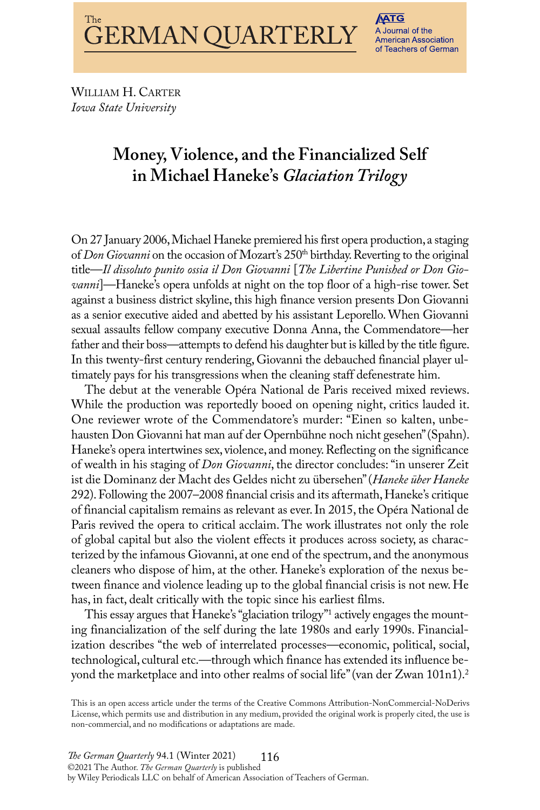WILLIAM H. CARTER *Iowa state university*

# **Money, Violence, and the Financialized Self in Michael Haneke's** *GlaciationTrilogy*

On 27 January 2006, Michael Haneke premiered his first opera production, a staging of *Don Giovanni* on the occasion of Mozart's 250<sup>th</sup> birthday. Reverting to the original title—*Il dissoluto punito ossia il Don Giovanni* [*The libertine Punished or Don Giovanni*]—Haneke's opera unfolds at night on the top floor of a high-rise tower. Set against a business district skyline, this high finance version presents Don Giovanni as a senior executive aided and abetted by his assistant leporello.When Giovanni sexual assaults fellow company executive Donna Anna, the Commendatore—her father and their boss—attempts to defend his daughter but is killed by the title figure. In this twenty-first century rendering, Giovanni the debauched financial player ultimately pays for his transgressions when the cleaning staff defenestrate him.

The debut at the venerable Opéra National de Paris received mixed reviews. While the production was reportedly booed on opening night, critics lauded it. One reviewer wrote of the Commendatore's murder: "Einen so kalten, unbehausten Don Giovanni hat man auf der Opernbühne noch nicht gesehen" (Spahn). Haneke's opera intertwines sex, violence, and money. Reflecting on the significance of wealth in his staging of *Don Giovanni*, the director concludes:"in unserer zeit ist die Dominanz der Macht des Geldes nicht zu übersehen"(*haneke über haneke* 292). Following the 2007–2008 financial crisis and its aftermath, Haneke's critique of financial capitalism remains as relevant as ever. In 2015, the Opéra National de Paris revived the opera to critical acclaim. The work illustrates not only the role of global capital but also the violent effects it produces across society, as characterized by the infamous Giovanni, at one end of the spectrum, and the anonymous cleaners who dispose of him, at the other. Haneke's exploration of the nexus between finance and violence leading up to the global financial crisis is not new. He has, in fact, dealt critically with the topic since his earliest films.

This essay argues that Haneke's "glaciation trilogy"<sup>1</sup> actively engages the mounting financialization of the self during the late 1980s and early 1990s. Financialization describes "the web of interrelated processes—economic, political, social, technological, cultural etc.—through which finance has extended its influence beyond the marketplace and into other realms of social life" (van der Zwan 101n1). $^2$ 

this is an open access article under the terms of the Creative Commons attribution-NonCommercial-NoDerivs license, which permits use and distribution in any medium, provided the original work is properly cited, the use is non-commercial, and no modifications or adaptations are made.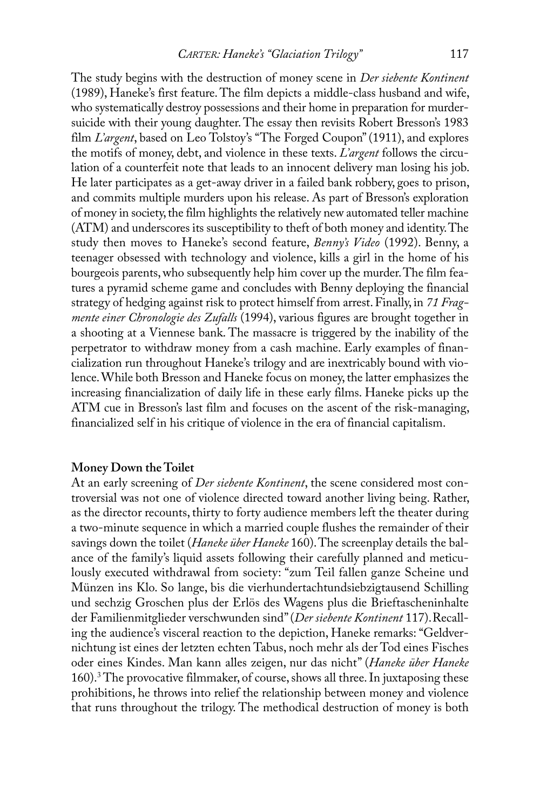the study begins with the destruction of money scene in *Der siebente Kontinent* (1989), Haneke's first feature. The film depicts a middle-class husband and wife, who systematically destroy possessions and their home in preparation for murdersuicide with their young daughter. The essay then revisits Robert Bresson's 1983 film *L'argent*, based on Leo Tolstoy's "The Forged Coupon" (1911), and explores the motifs of money, debt, and violence in these texts. *l'argent* follows the circulation of a counterfeit note that leads to an innocent delivery man losing his job. he later participates as a get-away driver in a failed bank robbery, goes to prison, and commits multiple murders upon his release. As part of Bresson's exploration of money in society, the film highlights the relatively new automated teller machine (ATM) and underscores its susceptibility to theft of both money and identity. The study then moves to Haneke's second feature, *Benny's Video* (1992). Benny, a teenager obsessed with technology and violence, kills a girl in the home of his bourgeois parents, who subsequently help him cover up the murder. The film features a pyramid scheme game and concludes with Benny deploying the financial strategy of hedging against risk to protect himself from arrest.Finally, in *71 Fragmente einer Chronologie des Zufalls* (1994), various figures are brought together in a shooting at a Viennese bank. The massacre is triggered by the inability of the perpetrator to withdraw money from a cash machine. Early examples of financialization run throughout Haneke's trilogy and are inextricably bound with violence. While both Bresson and Haneke focus on money, the latter emphasizes the increasing financialization of daily life in these early films. Haneke picks up the ATM cue in Bresson's last film and focuses on the ascent of the risk-managing, financialized self in his critique of violence in the era of financial capitalism.

# **Money Down the Toilet**

at an early screening of *Der siebente Kontinent*, the scene considered most controversial was not one of violence directed toward another living being. Rather, as the director recounts, thirty to forty audience members left the theater during a two-minute sequence in which a married couple flushes the remainder of their savings down the toilet (*Haneke über Haneke* 160). The screenplay details the balance of the family's liquid assets following their carefully planned and meticulously executed withdrawal from society: "zum Teil fallen ganze Scheine und Münzen ins klo. So lange, bis die vierhundertachtundsiebzigtausend Schilling und sechzig Groschen plus der Erlös des Wagens plus die Brieftascheninhalte der Familienmitglieder verschwunden sind" (Der siebente Kontinent 117). Recalling the audience's visceral reaction to the depiction, Haneke remarks: "Geldvernichtung ist eines der letzten echten Tabus, noch mehr als der Tod eines Fisches oder eines kindes. Man kann alles zeigen, nur das nicht" (*haneke über haneke* 160).<sup>3</sup> The provocative filmmaker, of course, shows all three. In juxtaposing these prohibitions, he throws into relief the relationship between money and violence that runs throughout the trilogy. The methodical destruction of money is both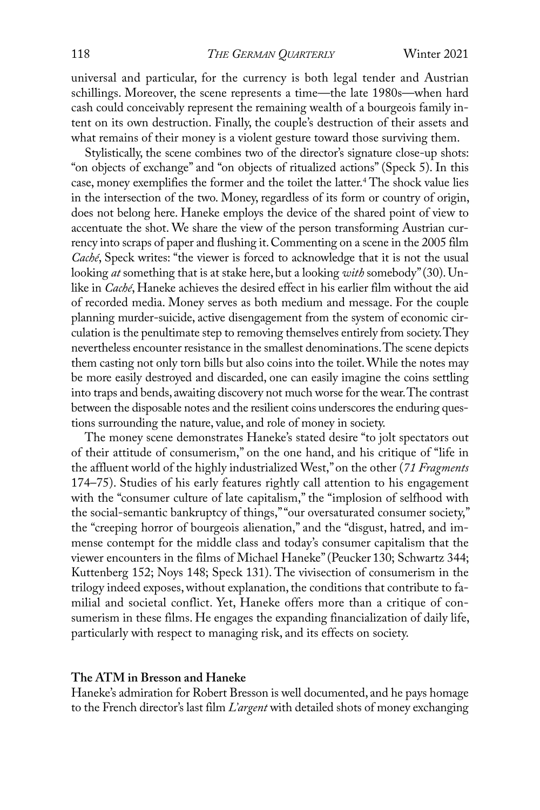universal and particular, for the currency is both legal tender and Austrian schillings. Moreover, the scene represents a time—the late 1980s—when hard cash could conceivably represent the remaining wealth of a bourgeois family intent on its own destruction. Finally, the couple's destruction of their assets and what remains of their money is a violent gesture toward those surviving them.

Stylistically, the scene combines two of the director's signature close-up shots: "on objects of exchange" and "on objects of ritualized actions" (Speck 5). In this case, money exemplifies the former and the toilet the latter.<sup>4</sup> The shock value lies in the intersection of the two. Money, regardless of its form or country of origin, does not belong here. Haneke employs the device of the shared point of view to accentuate the shot. We share the view of the person transforming Austrian currency into scraps of paper and flushing it.Commenting on a scene in the 2005 film *Caché*, Speck writes: "the viewer is forced to acknowledge that it is not the usual looking *at* something that is at stake here, but a looking *with* somebody"(30).Unlike in *Caché*, Haneke achieves the desired effect in his earlier film without the aid of recorded media. Money serves as both medium and message. For the couple planning murder-suicide, active disengagement from the system of economic circulation is the penultimate step to removing themselves entirely from society. They nevertheless encounter resistance in the smallest denominations. The scene depicts them casting not only torn bills but also coins into the toilet.While the notes may be more easily destroyed and discarded, one can easily imagine the coins settling into traps and bends, awaiting discovery not much worse for the wear. The contrast between the disposable notes and the resilient coins underscores the enduring questions surrounding the nature, value, and role of money in society.

The money scene demonstrates Haneke's stated desire "to jolt spectators out of their attitude of consumerism," on the one hand, and his critique of "life in the affluent world of the highly industrialized West,"on the other (*71 Fragments* 174–75). Studies of his early features rightly call attention to his engagement with the "consumer culture of late capitalism," the "implosion of selfhood with the social-semantic bankruptcy of things,""our oversaturated consumer society," the "creeping horror of bourgeois alienation," and the "disgust, hatred, and immense contempt for the middle class and today's consumer capitalism that the viewer encounters in the films of Michael haneke"(Peucker 130; Schwartz 344; Kuttenberg 152; Noys 148; Speck 131). The vivisection of consumerism in the trilogy indeed exposes, without explanation, the conditions that contribute to familial and societal conflict. yet, haneke offers more than a critique of consumerism in these films. He engages the expanding financialization of daily life, particularly with respect to managing risk, and its effects on society.

#### **The ATM in Bresson and Haneke**

Haneke's admiration for Robert Bresson is well documented, and he pays homage to the French director's last film *l'argent* with detailed shots of money exchanging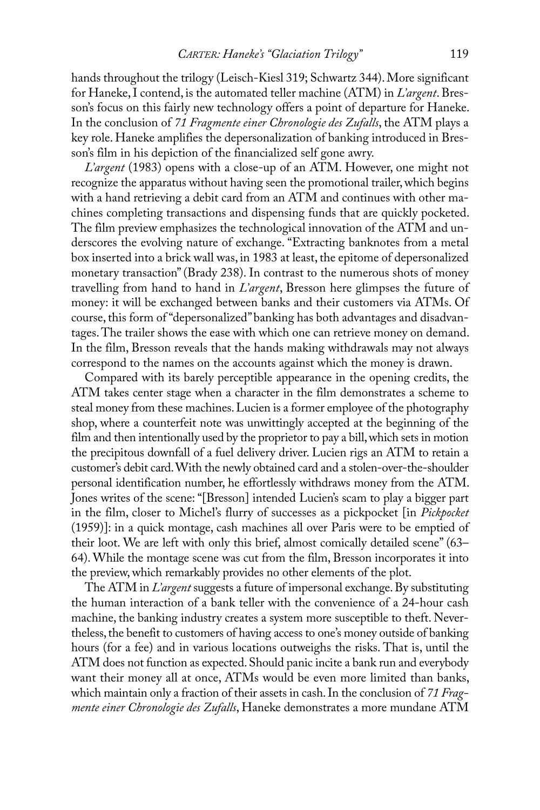hands throughout the trilogy (Leisch-Kiesl 319; Schwartz 344). More significant for Haneke, I contend, is the automated teller machine (ATM) in *L'argent*. Bresson's focus on this fairly new technology offers a point of departure for Haneke. In the conclusion of 71 Fragmente einer *Chronologie des Zufalls*, the ATM plays a key role. Haneke amplifies the depersonalization of banking introduced in Bresson's film in his depiction of the financialized self gone awry.

*L'argent* (1983) opens with a close-up of an ATM. However, one might not recognize the apparatus without having seen the promotional trailer, which begins with a hand retrieving a debit card from an ATM and continues with other machines completing transactions and dispensing funds that are quickly pocketed. The film preview emphasizes the technological innovation of the ATM and underscores the evolving nature of exchange. "Extracting banknotes from a metal box inserted into a brick wall was, in 1983 at least, the epitome of depersonalized monetary transaction" (Brady 238). In contrast to the numerous shots of money travelling from hand to hand in *l'argent*, Bresson here glimpses the future of money: it will be exchanged between banks and their customers via ATMs. Of course, this form of "depersonalized" banking has both advantages and disadvantages. The trailer shows the ease with which one can retrieve money on demand. In the film, Bresson reveals that the hands making withdrawals may not always correspond to the names on the accounts against which the money is drawn.

Compared with its barely perceptible appearance in the opening credits, the ATM takes center stage when a character in the film demonstrates a scheme to steal money from these machines. Lucien is a former employee of the photography shop, where a counterfeit note was unwittingly accepted at the beginning of the film and then intentionally used by the proprietor to pay a bill,which sets in motion the precipitous downfall of a fuel delivery driver. Lucien rigs an ATM to retain a customer's debit card.With the newly obtained card and a stolen-over-the-shoulder personal identification number, he effortlessly withdraws money from the ATM. Jones writes of the scene: "[Bresson] intended Lucien's scam to play a bigger part in the film, closer to Michel's flurry of successes as a pickpocket [in *Pickpocket* (1959)]: in a quick montage, cash machines all over Paris were to be emptied of their loot. We are left with only this brief, almost comically detailed scene" (63– 64).While the montage scene was cut from the film, Bresson incorporates it into the preview,which remarkably provides no other elements of the plot.

The ATM in *L'argent* suggests a future of impersonal exchange. By substituting the human interaction of a bank teller with the convenience of a 24-hour cash machine, the banking industry creates a system more susceptible to theft. Nevertheless, the benefit to customers of having access to one's money outside of banking hours (for a fee) and in various locations outweighs the risks. That is, until the ATM does not function as expected. Should panic incite a bank run and everybody want their money all at once, ATMs would be even more limited than banks, which maintain only a fraction of their assets in cash. In the conclusion of 71 *Fragmente einer Chronologie des Zufalls*, Haneke demonstrates a more mundane ATM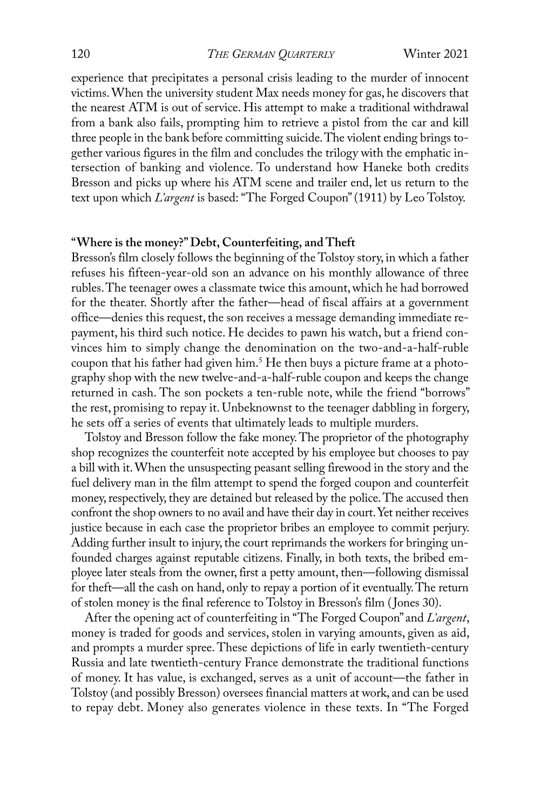experience that precipitates a personal crisis leading to the murder of innocent victims.When the university student Max needs money for gas, he discovers that the nearest ATM is out of service. His attempt to make a traditional withdrawal from a bank also fails, prompting him to retrieve a pistol from the car and kill three people in the bank before committing suicide. The violent ending brings together various figures in the film and concludes the trilogy with the emphatic intersection of banking and violence. To understand how Haneke both credits Bresson and picks up where his ATM scene and trailer end, let us return to the text upon which *L'argent* is based: "The Forged Coupon" (1911) by Leo Tolstoy.

#### **"Where is the money?"Debt, Counterfeiting, and Theft**

Bresson's film closely follows the beginning of the Tolstoy story, in which a father refuses his fifteen-year-old son an advance on his monthly allowance of three rubles. The teenager owes a classmate twice this amount, which he had borrowed for the theater. Shortly after the father—head of fiscal affairs at a government office—denies this request, the son receives a message demanding immediate repayment, his third such notice. He decides to pawn his watch, but a friend convinces him to simply change the denomination on the two-and-a-half-ruble coupon that his father had given him.<sup>5</sup> He then buys a picture frame at a photography shop with the new twelve-and-a-half-ruble coupon and keeps the change returned in cash. The son pockets a ten-ruble note, while the friend "borrows" the rest, promising to repay it. Unbeknownst to the teenager dabbling in forgery, he sets off a series of events that ultimately leads to multiple murders.

Tolstoy and Bresson follow the fake money. The proprietor of the photography shop recognizes the counterfeit note accepted by his employee but chooses to pay a bill with it.When the unsuspecting peasant selling firewood in the story and the fuel delivery man in the film attempt to spend the forged coupon and counterfeit money, respectively, they are detained but released by the police. The accused then confront the shop owners to no avail and have their day in court. Yet neither receives justice because in each case the proprietor bribes an employee to commit perjury. Adding further insult to injury, the court reprimands the workers for bringing unfounded charges against reputable citizens. Finally, in both texts, the bribed employee later steals from the owner, first a petty amount, then—following dismissal for theft—all the cash on hand, only to repay a portion of it eventually. The return of stolen money is the final reference to Tolstoy in Bresson's film (Jones 30).

After the opening act of counterfeiting in "The Forged Coupon" and *L'argent*, money is traded for goods and services, stolen in varying amounts, given as aid, and prompts a murder spree. These depictions of life in early twentieth-century Russia and late twentieth-century France demonstrate the traditional functions of money. it has value, is exchanged, serves as a unit of account—the father in Tolstoy (and possibly Bresson) oversees financial matters at work, and can be used to repay debt. Money also generates violence in these texts. In "The Forged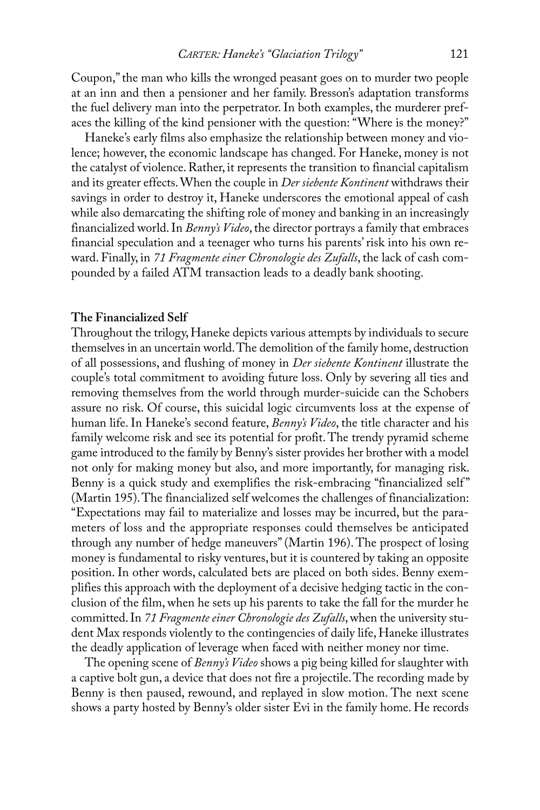Coupon,"the man who kills the wronged peasant goes on to murder two people at an inn and then a pensioner and her family. Bresson's adaptation transforms the fuel delivery man into the perpetrator. In both examples, the murderer prefaces the killing of the kind pensioner with the question: "Where is the money?"

haneke's early films also emphasize the relationship between money and violence; however, the economic landscape has changed. For Haneke, money is not the catalyst of violence. Rather, it represents the transition to financial capitalism and its greater effects.When the couple in *Der siebente Kontinent* withdraws their savings in order to destroy it, Haneke underscores the emotional appeal of cash while also demarcating the shifting role of money and banking in an increasingly financialized world. In *Benny's Video*, the director portrays a family that embraces financial speculation and a teenager who turns his parents' risk into his own reward. Finally, in *71 Fragmente einer Chronologie des Zufalls*, the lack of cash compounded by a failed ATM transaction leads to a deadly bank shooting.

# **The Financialized Self**

Throughout the trilogy, Haneke depicts various attempts by individuals to secure themselves in an uncertain world. The demolition of the family home, destruction of all possessions, and flushing of money in *Der siebente Kontinent* illustrate the couple's total commitment to avoiding future loss. Only by severing all ties and removing themselves from the world through murder-suicide can the Schobers assure no risk. of course, this suicidal logic circumvents loss at the expense of human life. In Haneke's second feature, *Benny's Video*, the title character and his family welcome risk and see its potential for profit. The trendy pyramid scheme game introduced to the family by Benny's sister provides her brother with a model not only for making money but also, and more importantly, for managing risk. Benny is a quick study and exemplifies the risk-embracing "financialized self" (Martin 195). The financialized self welcomes the challenges of financialization: "Expectations may fail to materialize and losses may be incurred, but the parameters of loss and the appropriate responses could themselves be anticipated through any number of hedge maneuvers" (Martin 196). The prospect of losing money is fundamental to risky ventures, but it is countered by taking an opposite position. In other words, calculated bets are placed on both sides. Benny exemplifies this approach with the deployment of a decisive hedging tactic in the conclusion of the film,when he sets up his parents to take the fall for the murder he committed.in *71 Fragmente einer Chronologie des Zufalls*,when the university student Max responds violently to the contingencies of daily life, Haneke illustrates the deadly application of leverage when faced with neither money nor time.

the opening scene of *Benny's Video* shows a pig being killed for slaughter with a captive bolt gun, a device that does not fire a projectile. The recording made by Benny is then paused, rewound, and replayed in slow motion. The next scene shows a party hosted by Benny's older sister Evi in the family home. He records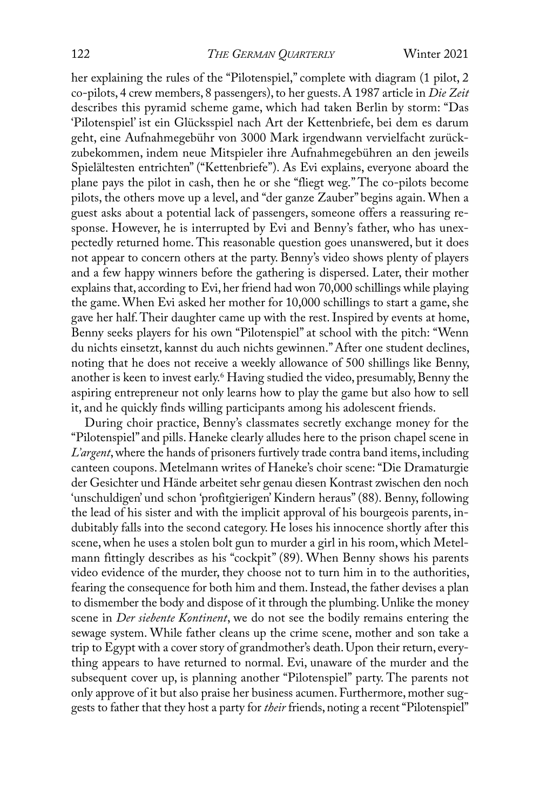#### 122 *ThE GERMAn QuARTERly* Winter 2021

her explaining the rules of the "Pilotenspiel," complete with diagram (1 pilot, 2 co-pilots, 4 crew members, 8 passengers), to her guests. A 1987 article in *Die Zeit* describes this pyramid scheme game, which had taken Berlin by storm: "Das 'Pilotenspiel' ist ein Glücksspiel nach Art der Kettenbriefe, bei dem es darum geht, eine Aufnahmegebühr von 3000 Mark irgendwann vervielfacht zurückzubekommen, indem neue Mitspieler ihre Aufnahmegebühren an den jeweils Spielältesten entrichten" ("Kettenbriefe"). As Evi explains, everyone aboard the plane pays the pilot in cash, then he or she "fliegt weg." the co-pilots become pilots, the others move up a level, and "der ganze zauber" begins again.When a guest asks about a potential lack of passengers, someone offers a reassuring response. However, he is interrupted by Evi and Benny's father, who has unexpectedly returned home. This reasonable question goes unanswered, but it does not appear to concern others at the party. Benny's video shows plenty of players and a few happy winners before the gathering is dispersed. later, their mother explains that, according to Evi, her friend had won 70,000 schillings while playing the game. When Evi asked her mother for 10,000 schillings to start a game, she gave her half. Their daughter came up with the rest. Inspired by events at home, Benny seeks players for his own "Pilotenspiel" at school with the pitch: "Wenn du nichts einsetzt, kannst du auch nichts gewinnen." After one student declines, noting that he does not receive a weekly allowance of 500 shillings like Benny, another is keen to invest early.<sup>6</sup> Having studied the video, presumably, Benny the aspiring entrepreneur not only learns how to play the game but also how to sell it, and he quickly finds willing participants among his adolescent friends.

During choir practice, Benny's classmates secretly exchange money for the "Pilotenspiel" and pills. haneke clearly alludes here to the prison chapel scene in *l'argent*,where the hands of prisoners furtively trade contra band items, including canteen coupons. Metelmann writes of Haneke's choir scene: "Die Dramaturgie der Gesichter und hände arbeitet sehr genau diesen kontrast zwischen den noch 'unschuldigen' und schon 'profitgierigen' kindern heraus"(88). Benny, following the lead of his sister and with the implicit approval of his bourgeois parents, indubitably falls into the second category. He loses his innocence shortly after this scene, when he uses a stolen bolt gun to murder a girl in his room, which Metelmann fittingly describes as his "cockpit" (89). When Benny shows his parents video evidence of the murder, they choose not to turn him in to the authorities, fearing the consequence for both him and them. Instead, the father devises a plan to dismember the body and dispose of it through the plumbing.Unlike the money scene in *Der siebente Kontinent*, we do not see the bodily remains entering the sewage system. While father cleans up the crime scene, mother and son take a trip to Egypt with a cover story of grandmother's death. Upon their return, everything appears to have returned to normal. Evi, unaware of the murder and the subsequent cover up, is planning another "Pilotenspiel" party. The parents not only approve of it but also praise her business acumen. Furthermore, mother suggests to father that they host a party for *their* friends, noting a recent"Pilotenspiel"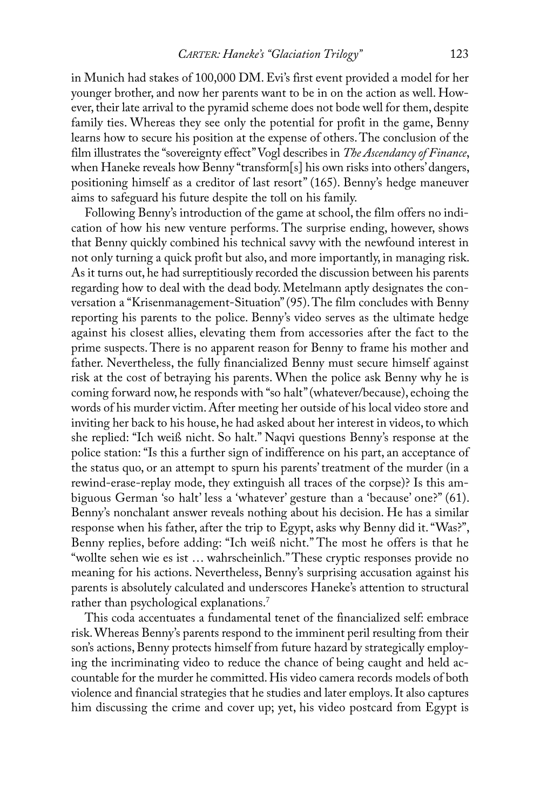in Munich had stakes of 100,000 DM. Evi's first event provided a model for her younger brother, and now her parents want to be in on the action as well. However, their late arrival to the pyramid scheme does not bode well for them, despite family ties. Whereas they see only the potential for profit in the game, Benny learns how to secure his position at the expense of others. The conclusion of the film illustrates the "sovereignty effect"Vogl describes in *The Ascendancy of Finance*, when Haneke reveals how Benny "transform[s] his own risks into others' dangers, positioning himself as a creditor of last resort" (165). Benny's hedge maneuver aims to safeguard his future despite the toll on his family.

Following Benny's introduction of the game at school, the film offers no indication of how his new venture performs. The surprise ending, however, shows that Benny quickly combined his technical savvy with the newfound interest in not only turning a quick profit but also, and more importantly, in managing risk. As it turns out, he had surreptitiously recorded the discussion between his parents regarding how to deal with the dead body. Metelmann aptly designates the conversation a "Krisenmanagement-Situation" (95). The film concludes with Benny reporting his parents to the police. Benny's video serves as the ultimate hedge against his closest allies, elevating them from accessories after the fact to the prime suspects. There is no apparent reason for Benny to frame his mother and father. Nevertheless, the fully financialized Benny must secure himself against risk at the cost of betraying his parents. When the police ask Benny why he is coming forward now, he responds with "so halt"(whatever/because), echoing the words of his murder victim. After meeting her outside of his local video store and inviting her back to his house, he had asked about her interest in videos, to which she replied: "Ich weiß nicht. So halt." Naqvi questions Benny's response at the police station: "Is this a further sign of indifference on his part, an acceptance of the status quo, or an attempt to spurn his parents' treatment of the murder (in a rewind-erase-replay mode, they extinguish all traces of the corpse)? Is this ambiguous German 'so halt' less a 'whatever' gesture than a 'because' one?" (61). Benny's nonchalant answer reveals nothing about his decision. He has a similar response when his father, after the trip to Egypt, asks why Benny did it. "Was?", Benny replies, before adding: "Ich weiß nicht." The most he offers is that he "wollte sehen wie es ist ... wahrscheinlich." These cryptic responses provide no meaning for his actions. Nevertheless, Benny's surprising accusation against his parents is absolutely calculated and underscores haneke's attention to structural rather than psychological explanations. 7

This coda accentuates a fundamental tenet of the financialized self: embrace risk.Whereas Benny's parents respond to the imminent peril resulting from their son's actions, Benny protects himself from future hazard by strategically employing the incriminating video to reduce the chance of being caught and held accountable for the murder he committed. His video camera records models of both violence and financial strategies that he studies and later employs. It also captures him discussing the crime and cover up; yet, his video postcard from Egypt is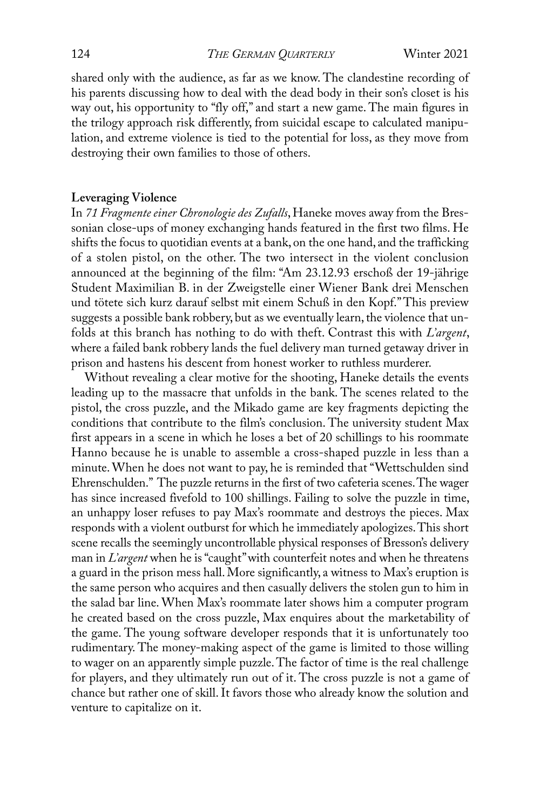shared only with the audience, as far as we know. The clandestine recording of his parents discussing how to deal with the dead body in their son's closet is his way out, his opportunity to "fly off," and start a new game. The main figures in the trilogy approach risk differently, from suicidal escape to calculated manipulation, and extreme violence is tied to the potential for loss, as they move from destroying their own families to those of others.

# **Leveraging Violence**

In 71 Fragmente einer Chronologie des Zufalls, Haneke moves away from the Bressonian close-ups of money exchanging hands featured in the first two films. He shifts the focus to quotidian events at a bank, on the one hand, and the trafficking of a stolen pistol, on the other. The two intersect in the violent conclusion announced at the beginning of the film: "Am 23.12.93 erschoß der 19-jährige Student Maximilian B. in der zweigstelle einer Wiener Bank drei Menschen und tötete sich kurz darauf selbst mit einem Schuß in den Kopf." This preview suggests a possible bank robbery, but as we eventually learn, the violence that unfolds at this branch has nothing to do with theft. Contrast this with *l'argent*, where a failed bank robbery lands the fuel delivery man turned getaway driver in prison and hastens his descent from honest worker to ruthless murderer.

Without revealing a clear motive for the shooting, Haneke details the events leading up to the massacre that unfolds in the bank. The scenes related to the pistol, the cross puzzle, and the Mikado game are key fragments depicting the conditions that contribute to the film's conclusion. The university student Max first appears in a scene in which he loses a bet of 20 schillings to his roommate hanno because he is unable to assemble a cross-shaped puzzle in less than a minute.When he does not want to pay, he is reminded that "Wettschulden sind Ehrenschulden." The puzzle returns in the first of two cafeteria scenes. The wager has since increased fivefold to 100 shillings. Failing to solve the puzzle in time, an unhappy loser refuses to pay Max's roommate and destroys the pieces. Max responds with a violent outburst for which he immediately apologizes. This short scene recalls the seemingly uncontrollable physical responses of Bresson's delivery man in *l'argent* when he is"caught"with counterfeit notes and when he threatens a guard in the prison mess hall.More significantly, a witness to Max's eruption is the same person who acquires and then casually delivers the stolen gun to him in the salad bar line. When Max's roommate later shows him a computer program he created based on the cross puzzle, Max enquires about the marketability of the game. The young software developer responds that it is unfortunately too rudimentary. The money-making aspect of the game is limited to those willing to wager on an apparently simple puzzle. The factor of time is the real challenge for players, and they ultimately run out of it. The cross puzzle is not a game of chance but rather one of skill. It favors those who already know the solution and venture to capitalize on it.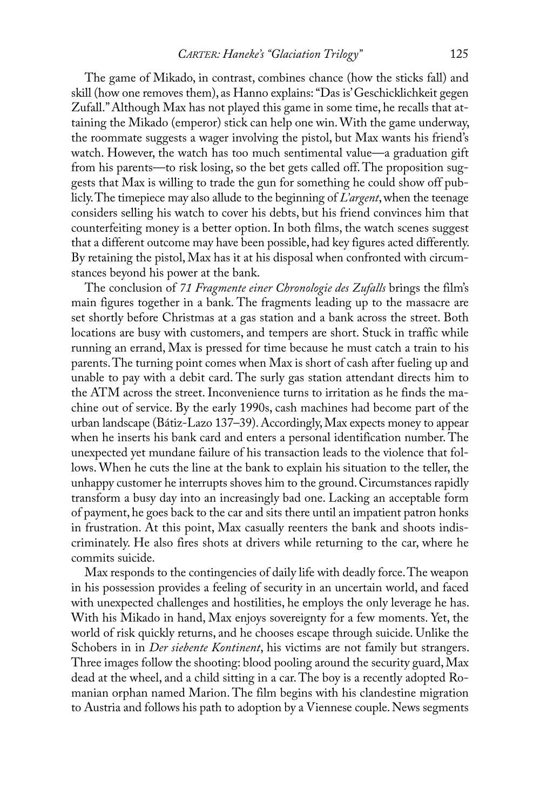The game of Mikado, in contrast, combines chance (how the sticks fall) and skill (how one removes them), as Hanno explains: "Das is' Geschicklichkeit gegen Zufall." Although Max has not played this game in some time, he recalls that attaining the Mikado (emperor) stick can help one win.With the game underway, the roommate suggests a wager involving the pistol, but Max wants his friend's watch. However, the watch has too much sentimental value—a graduation gift from his parents—to risk losing, so the bet gets called off. The proposition suggests that Max is willing to trade the gun for something he could show off publicly. The timepiece may also allude to the beginning of *L'argent*, when the teenage considers selling his watch to cover his debts, but his friend convinces him that counterfeiting money is a better option. In both films, the watch scenes suggest that a different outcome may have been possible, had key figures acted differently. By retaining the pistol, Max has it at his disposal when confronted with circumstances beyond his power at the bank.

the conclusion of *71 Fragmente einer Chronologie des Zufalls* brings the film's main figures together in a bank. The fragments leading up to the massacre are set shortly before Christmas at a gas station and a bank across the street. Both locations are busy with customers, and tempers are short. Stuck in traffic while running an errand, Max is pressed for time because he must catch a train to his parents. The turning point comes when Max is short of cash after fueling up and unable to pay with a debit card. the surly gas station attendant directs him to the ATM across the street. Inconvenience turns to irritation as he finds the machine out of service. By the early 1990s, cash machines had become part of the urban landscape (Bátiz-Lazo 137–39). Accordingly, Max expects money to appear when he inserts his bank card and enters a personal identification number. The unexpected yet mundane failure of his transaction leads to the violence that follows.When he cuts the line at the bank to explain his situation to the teller, the unhappy customer he interrupts shoves him to the ground.Circumstances rapidly transform a busy day into an increasingly bad one. lacking an acceptable form of payment, he goes back to the car and sits there until an impatient patron honks in frustration. At this point, Max casually reenters the bank and shoots indiscriminately. he also fires shots at drivers while returning to the car, where he commits suicide.

Max responds to the contingencies of daily life with deadly force. The weapon in his possession provides a feeling of security in an uncertain world, and faced with unexpected challenges and hostilities, he employs the only leverage he has. With his Mikado in hand, Max enjoys sovereignty for a few moments. Yet, the world of risk quickly returns, and he chooses escape through suicide. Unlike the Schobers in in *Der siebente Kontinent*, his victims are not family but strangers. Three images follow the shooting: blood pooling around the security guard, Max dead at the wheel, and a child sitting in a car. The boy is a recently adopted Romanian orphan named Marion. The film begins with his clandestine migration to Austria and follows his path to adoption by a Viennese couple. News segments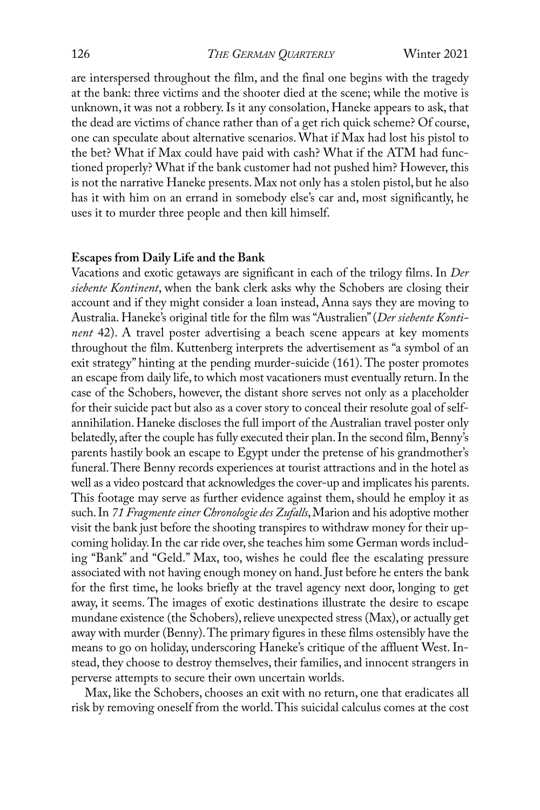are interspersed throughout the film, and the final one begins with the tragedy at the bank: three victims and the shooter died at the scene; while the motive is unknown, it was not a robbery. Is it any consolation, Haneke appears to ask, that the dead are victims of chance rather than of a get rich quick scheme? Of course, one can speculate about alternative scenarios.What if Max had lost his pistol to the bet? What if Max could have paid with cash? What if the ATM had functioned properly? What if the bank customer had not pushed him? However, this is not the narrative Haneke presents. Max not only has a stolen pistol, but he also has it with him on an errand in somebody else's car and, most significantly, he uses it to murder three people and then kill himself.

#### **Escapes from Daily Life and the Bank**

Vacations and exotic getaways are significant in each of the trilogy films. in *Der siebente Kontinent*, when the bank clerk asks why the Schobers are closing their account and if they might consider a loan instead, Anna says they are moving to Australia. Haneke's original title for the film was "Australien" (Der siebente Konti*nent* 42). A travel poster advertising a beach scene appears at key moments throughout the film. kuttenberg interprets the advertisement as "a symbol of an exit strategy" hinting at the pending murder-suicide (161). The poster promotes an escape from daily life, to which most vacationers must eventually return. In the case of the Schobers, however, the distant shore serves not only as a placeholder for their suicide pact but also as a cover story to conceal their resolute goal of selfannihilation. Haneke discloses the full import of the Australian travel poster only belatedly, after the couple has fully executed their plan. In the second film, Benny's parents hastily book an escape to Egypt under the pretense of his grandmother's funeral. There Benny records experiences at tourist attractions and in the hotel as well as a video postcard that acknowledges the cover-up and implicates his parents. This footage may serve as further evidence against them, should he employ it as such. In 71 Fragmente einer Chronologie des Zufalls, Marion and his adoptive mother visit the bank just before the shooting transpires to withdraw money for their upcoming holiday. In the car ride over, she teaches him some German words including "Bank" and "Geld." Max, too, wishes he could flee the escalating pressure associated with not having enough money on hand.Just before he enters the bank for the first time, he looks briefly at the travel agency next door, longing to get away, it seems. The images of exotic destinations illustrate the desire to escape mundane existence (the Schobers), relieve unexpected stress (Max), or actually get away with murder (Benny). The primary figures in these films ostensibly have the means to go on holiday, underscoring Haneke's critique of the affluent West. Instead, they choose to destroy themselves, their families, and innocent strangers in perverse attempts to secure their own uncertain worlds.

Max, like the Schobers, chooses an exit with no return, one that eradicates all risk by removing oneself from the world. This suicidal calculus comes at the cost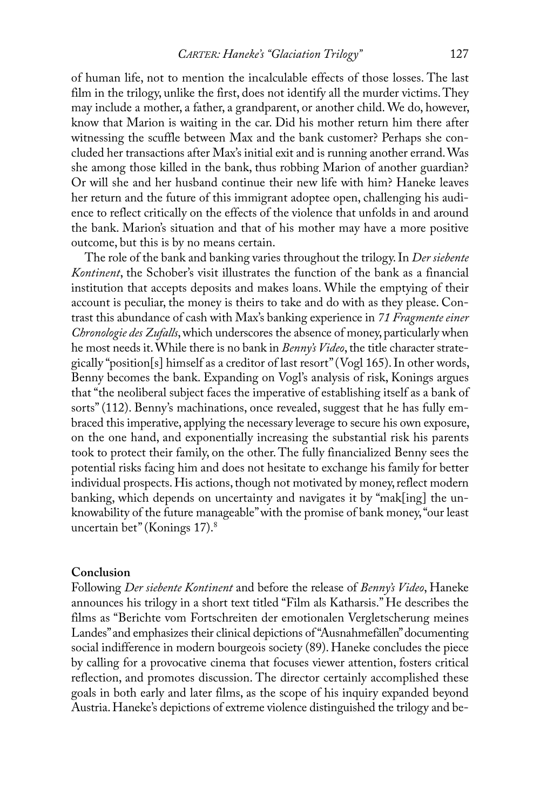of human life, not to mention the incalculable effects of those losses. the last film in the trilogy, unlike the first, does not identify all the murder victims. They may include a mother, a father, a grandparent, or another child.We do, however, know that Marion is waiting in the car. Did his mother return him there after witnessing the scuffle between Max and the bank customer? Perhaps she concluded her transactions after Max's initial exit and is running another errand.Was she among those killed in the bank, thus robbing Marion of another guardian? Or will she and her husband continue their new life with him? Haneke leaves her return and the future of this immigrant adoptee open, challenging his audience to reflect critically on the effects of the violence that unfolds in and around the bank. Marion's situation and that of his mother may have a more positive outcome, but this is by no means certain.

The role of the bank and banking varies throughout the trilogy. In *Der siebente Kontinent*, the Schober's visit illustrates the function of the bank as a financial institution that accepts deposits and makes loans. While the emptying of their account is peculiar, the money is theirs to take and do with as they please. Contrast this abundance of cash with Max's banking experience in *71 Fragmente einer Chronologie des Zufalls*,which underscores the absence of money, particularly when he most needs it. While there is no bank in *Benny's Video*, the title character strategically "position[s] himself as a creditor of last resort" (Vogl  $165$ ). In other words, Benny becomes the bank. Expanding on Vogl's analysis of risk, Konings argues that "the neoliberal subject faces the imperative of establishing itself as a bank of sorts" (112). Benny's machinations, once revealed, suggest that he has fully embraced this imperative, applying the necessary leverage to secure his own exposure, on the one hand, and exponentially increasing the substantial risk his parents took to protect their family, on the other. The fully financialized Benny sees the potential risks facing him and does not hesitate to exchange his family for better individual prospects. His actions, though not motivated by money, reflect modern banking, which depends on uncertainty and navigates it by "mak[ing] the unknowability of the future manageable"with the promise of bank money,"our least uncertain bet"(konings 17). 8

#### **Conclusion**

Following *Der siebente Kontinent* and before the release of *Benny's Video*, haneke announces his trilogy in a short text titled "Film als katharsis." he describes the films as "Berichte vom Fortschreiten der emotionalen Vergletscherung meines Landes" and emphasizes their clinical depictions of "Ausnahmefällen" documenting social indifference in modern bourgeois society (89). Haneke concludes the piece by calling for a provocative cinema that focuses viewer attention, fosters critical reflection, and promotes discussion. The director certainly accomplished these goals in both early and later films, as the scope of his inquiry expanded beyond Austria. Haneke's depictions of extreme violence distinguished the trilogy and be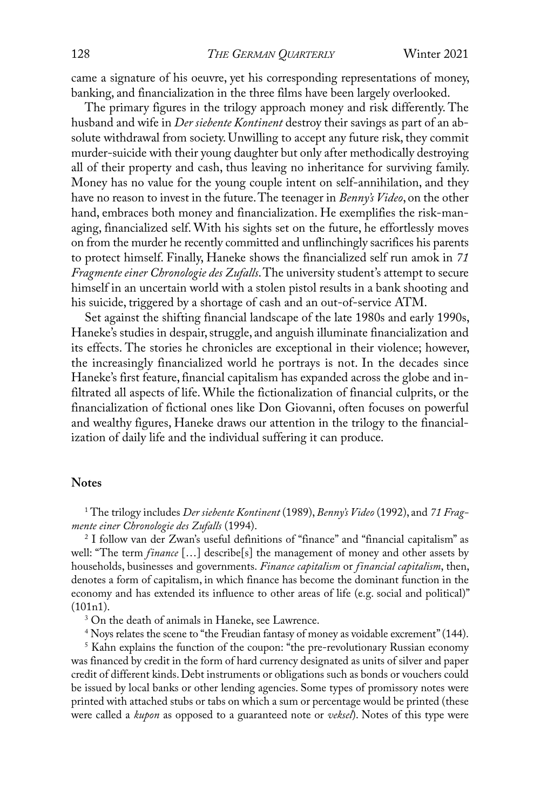came a signature of his oeuvre, yet his corresponding representations of money, banking, and financialization in the three films have been largely overlooked.

The primary figures in the trilogy approach money and risk differently. The husband and wife in *Der siebente Kontinent* destroy their savings as part of an absolute withdrawal from society. Unwilling to accept any future risk, they commit murder-suicide with their young daughter but only after methodically destroying all of their property and cash, thus leaving no inheritance for surviving family. Money has no value for the young couple intent on self-annihilation, and they have no reason to invest in the future. The teenager in *Benny's Video*, on the other hand, embraces both money and financialization. He exemplifies the risk-managing, financialized self. With his sights set on the future, he effortlessly moves on from the murder he recently committed and unflinchingly sacrifices his parents to protect himself. Finally, haneke shows the financialized self run amok in *71 Fragmente einer Chronologie des Zufalls*. The university student's attempt to secure himself in an uncertain world with a stolen pistol results in a bank shooting and his suicide, triggered by a shortage of cash and an out-of-service ATM.

Set against the shifting financial landscape of the late 1980s and early 1990s, Haneke's studies in despair, struggle, and anguish illuminate financialization and its effects. The stories he chronicles are exceptional in their violence; however, the increasingly financialized world he portrays is not. In the decades since haneke's first feature, financial capitalism has expanded across the globe and infiltrated all aspects of life. While the fictionalization of financial culprits, or the financialization of fictional ones like Don Giovanni, often focuses on powerful and wealthy figures, Haneke draws our attention in the trilogy to the financialization of daily life and the individual suffering it can produce.

# **Notes**

<sup>1</sup> the trilogy includes *Der siebente Kontinent* (1989),*Benny's Video* (1992), and *71 Fragmente einer Chronologie des Zufalls* (1994).

<sup>2</sup> I follow van der Zwan's useful definitions of "finance" and "financial capitalism" as well: "The term *finance* [...] describe[s] the management of money and other assets by households, businesses and governments. *Finance capitalism* or *financial capitalism*, then, denotes a form of capitalism, in which finance has become the dominant function in the economy and has extended its influence to other areas of life (e.g. social and political)"  $(101n1).$ 

<sup>3</sup> On the death of animals in Haneke, see Lawrence.

<sup>4</sup> Noys relates the scene to "the Freudian fantasy of money as voidable excrement" (144).

<sup>5</sup> Kahn explains the function of the coupon: "the pre-revolutionary Russian economy was financed by credit in the form of hard currency designated as units of silver and paper credit of different kinds. Debt instruments or obligations such as bonds or vouchers could be issued by local banks or other lending agencies. Some types of promissory notes were printed with attached stubs or tabs on which a sum or percentage would be printed (these were called a *kupon* as opposed to a guaranteed note or *veksel*). Notes of this type were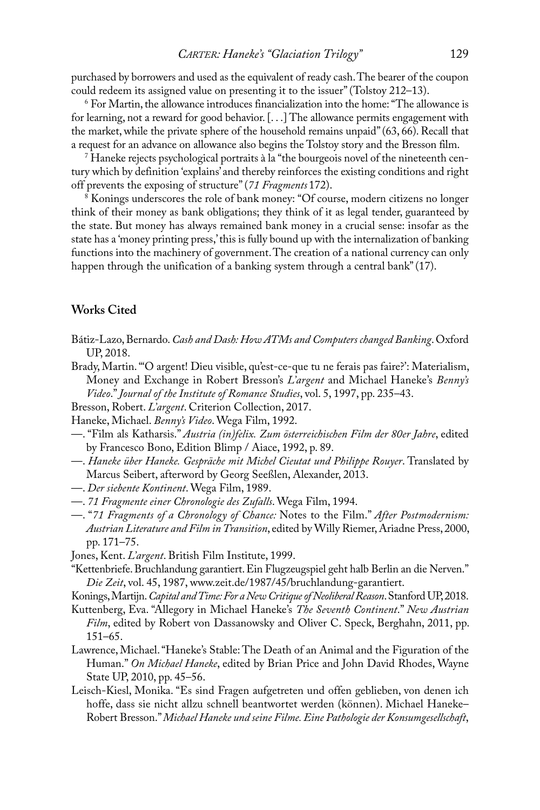purchased by borrowers and used as the equivalent of ready cash. The bearer of the coupon could redeem its assigned value on presenting it to the issuer" (Tolstoy 212–13).

 $6$  For Martin, the allowance introduces financialization into the home: "The allowance is for learning, not a reward for good behavior.  $[...]$  The allowance permits engagement with the market, while the private sphere of the household remains unpaid" $(63, 66)$ . Recall that a request for an advance on allowance also begins the Tolstoy story and the Bresson film.

<sup>7</sup> haneke rejects psychological portraits à la "the bourgeois novel of the nineteenth century which by definition 'explains' and thereby reinforces the existing conditions and right off prevents the exposing of structure"(*71 Fragments* 172).

<sup>8</sup> Konings underscores the role of bank money: "Of course, modern citizens no longer think of their money as bank obligations; they think of it as legal tender, guaranteed by the state. But money has always remained bank money in a crucial sense: insofar as the state has a 'money printing press,'this is fully bound up with the internalization of banking functions into the machinery of government. The creation of a national currency can only happen through the unification of a banking system through a central bank"(17).

# **Works Cited**

- Bátiz-lazo,Bernardo.*Cash and Dash: how ATMs and Computers changed Banking*. oxford UP, 2018.
- Brady, Martin. "O argent! Dieu visible, qu'est-ce-que tu ne ferais pas faire?': Materialism, Money and Exchange in Robert Bresson's *L'argent* and Michael Haneke's *Benny's Video*."*Journal of the Institute of Romance studies*, vol. 5, 1997, pp. 235–43.
- Bresson, Robert. *L'argent*. Criterion Collection, 2017.
- haneke, Michael. *Benny's Video*.Wega Film, 1992.
- —. "Film als katharsis." *Austria (in)felix. Zum österreichischen Film der 80er Jahre*, edited by Francesco Bono, Edition Blimp / Aiace, 1992, p. 89.
- —. *haneke über haneke. Gespräche mit Michel Cieutat und Philippe Rouyer*. translated by Marcus Seibert, afterword by Georg Seeßlen, Alexander, 2013.
- —. *Der siebente Kontinent*.Wega Film, 1989.
- —. *71 Fragmente einer Chronologie des Zufalls*.Wega Film, 1994.
- —. "*71 Fragments of a Chronology of Chance:* Notes to the Film." *After Postmodernism: Austrian Literature and Film in Transition*, edited by Willy Riemer, Ariadne Press, 2000, pp. 171–75.
- Jones, Kent. *L'argent*. British Film Institute, 1999.
- "Kettenbriefe. Bruchlandung garantiert. Ein Flugzeugspiel geht halb Berlin an die Nerven." *Die Zeit*, vol. 45, 1987, www.zeit.de/1987/45/bruchlandung-garantiert.
- konings,Martijn.*Capital andTime:For a new Critiqueof neoliberalReason*.Stanford UP,2018.
- Kuttenberg, Eva. "Allegory in Michael Haneke's The Seventh Continent." New Austrian *Film*, edited by Robert von Dassanowsky and Oliver C. Speck, Berghahn, 2011, pp. 151–65.
- Lawrence, Michael. "Haneke's Stable: The Death of an Animal and the Figuration of the Human." On Michael Haneke, edited by Brian Price and John David Rhodes, Wayne State UP, 2010, pp. 45–56.
- Leisch-Kiesl, Monika. "Es sind Fragen aufgetreten und offen geblieben, von denen ich hoffe, dass sie nicht allzu schnell beantwortet werden (können). Michael Haneke– robert Bresson."*Michael haneke und seine Filme.Eine Pathologie der Konsumgesellschaft*,